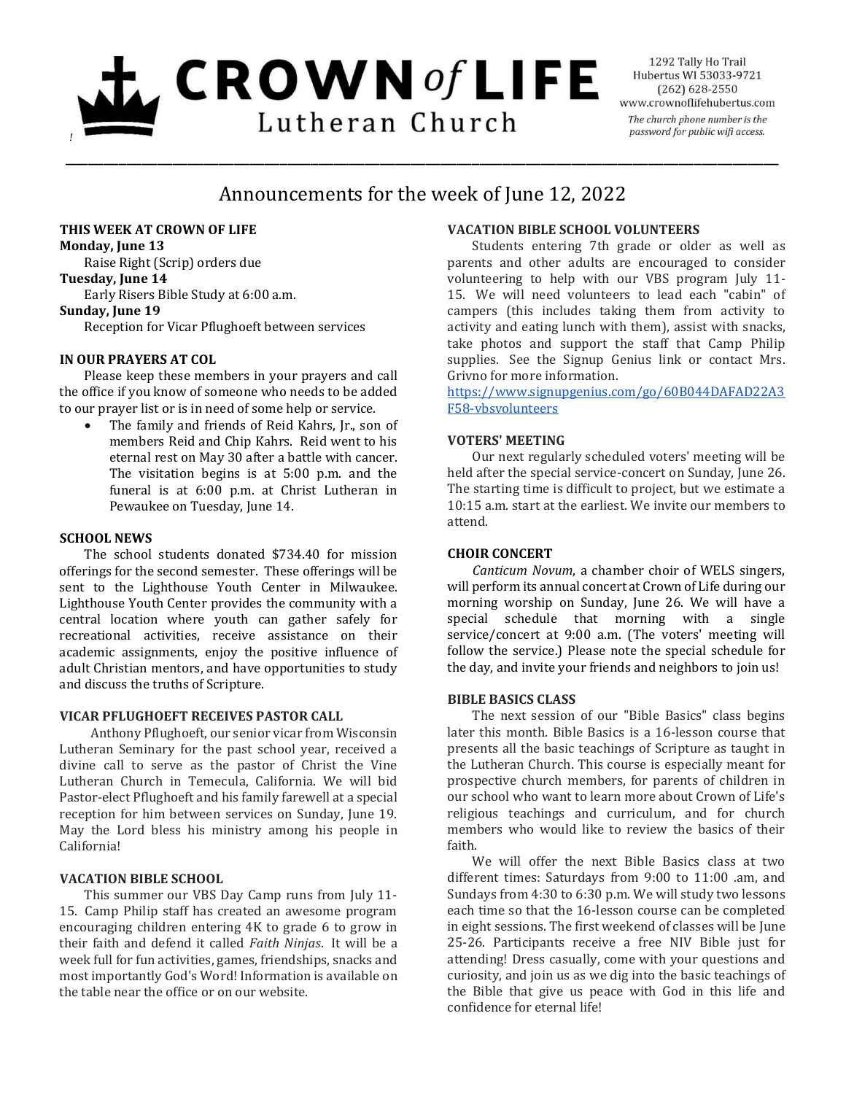# $L$  CROWN of LIFE Lutheran Church *!*

1292 Tally Ho Trail Hubertus WI 53033-9721  $(262)$  628-2550 www.crownoflifehubertus.com The church phone number is the password for public wifi access.

# Announcements for the week of June 12, 2022

\_\_\_\_\_\_\_\_\_\_\_\_\_\_\_\_\_\_\_\_\_\_\_\_\_\_\_\_\_\_\_\_\_\_\_\_\_\_\_\_\_\_\_\_\_\_\_\_\_\_\_\_\_\_\_\_\_\_\_\_\_\_\_\_\_\_\_\_\_\_\_\_\_\_\_\_\_\_\_\_\_\_\_\_\_\_\_\_\_\_\_\_\_

### **THIS WEEK AT CROWN OF LIFE**

**Monday, June 13** Raise Right (Scrip) orders due

## **Tuesday, June 14**

Early Risers Bible Study at 6:00 a.m.

#### **Sunday, June 19**

Reception for Vicar Pflughoeft between services

#### **IN OUR PRAYERS AT COL**

Please keep these members in your prayers and call the office if you know of someone who needs to be added to our prayer list or is in need of some help or service.

 The family and friends of Reid Kahrs, Jr., son of members Reid and Chip Kahrs. Reid went to his eternal rest on May 30 after a battle with cancer. The visitation begins is at 5:00 p.m. and the funeral is at 6:00 p.m. at Christ Lutheran in Pewaukee on Tuesday, June 14.

#### **SCHOOL NEWS**

The school students donated \$734.40 for mission offerings for the second semester. These offerings will be sent to the Lighthouse Youth Center in Milwaukee. Lighthouse Youth Center provides the community with a central location where youth can gather safely for recreational activities, receive assistance on their academic assignments, enjoy the positive influence of adult Christian mentors, and have opportunities to study and discuss the truths of Scripture.

#### **VICAR PFLUGHOEFT RECEIVES PASTOR CALL**

Anthony Pflughoeft, our senior vicar from Wisconsin Lutheran Seminary for the past school year, received a divine call to serve as the pastor of Christ the Vine Lutheran Church in Temecula, California. We will bid Pastor-elect Pflughoeft and his family farewell at a special reception for him between services on Sunday, June 19. May the Lord bless his ministry among his people in California!

#### **VACATION BIBLE SCHOOL**

This summer our VBS Day Camp runs from July 11- 15. Camp Philip staff has created an awesome program encouraging children entering 4K to grade 6 to grow in their faith and defend it called *Faith Ninjas*. It will be a week full for fun activities, games, friendships, snacks and most importantly God's Word! Information is available on the table near the office or on our website.

#### **VACATION BIBLE SCHOOL VOLUNTEERS**

Students entering 7th grade or older as well as parents and other adults are encouraged to consider volunteering to help with our VBS program July 11- 15. We will need volunteers to lead each "cabin" of campers (this includes taking them from activity to activity and eating lunch with them), assist with snacks, take photos and support the staff that Camp Philip supplies. See the Signup Genius link or contact Mrs. Grivno for more information.

[https://www.signupgenius.com/go/60B044DAFAD22A3](https://www.signupgenius.com/go/60B044DAFAD22A3F58-vbsvolunteers) [F58-vbsvolunteers](https://www.signupgenius.com/go/60B044DAFAD22A3F58-vbsvolunteers)

#### **VOTERS' MEETING**

Our next regularly scheduled voters' meeting will be held after the special service-concert on Sunday, June 26. The starting time is difficult to project, but we estimate a 10:15 a.m. start at the earliest. We invite our members to attend.

#### **CHOIR CONCERT**

*Canticum Novum*, a chamber choir of WELS singers, will perform its annual concert at Crown of Life during our morning worship on Sunday, June 26. We will have a special schedule that morning with a single service/concert at 9:00 a.m. (The voters' meeting will follow the service.) Please note the special schedule for the day, and invite your friends and neighbors to join us!

#### **BIBLE BASICS CLASS**

The next session of our "Bible Basics" class begins later this month. Bible Basics is a 16-lesson course that presents all the basic teachings of Scripture as taught in the Lutheran Church. This course is especially meant for prospective church members, for parents of children in our school who want to learn more about Crown of Life's religious teachings and curriculum, and for church members who would like to review the basics of their faith.

We will offer the next Bible Basics class at two different times: Saturdays from 9:00 to 11:00 .am, and Sundays from 4:30 to 6:30 p.m. We will study two lessons each time so that the 16-lesson course can be completed in eight sessions. The first weekend of classes will be June 25-26. Participants receive a free NIV Bible just for attending! Dress casually, come with your questions and curiosity, and join us as we dig into the basic teachings of the Bible that give us peace with God in this life and confidence for eternal life!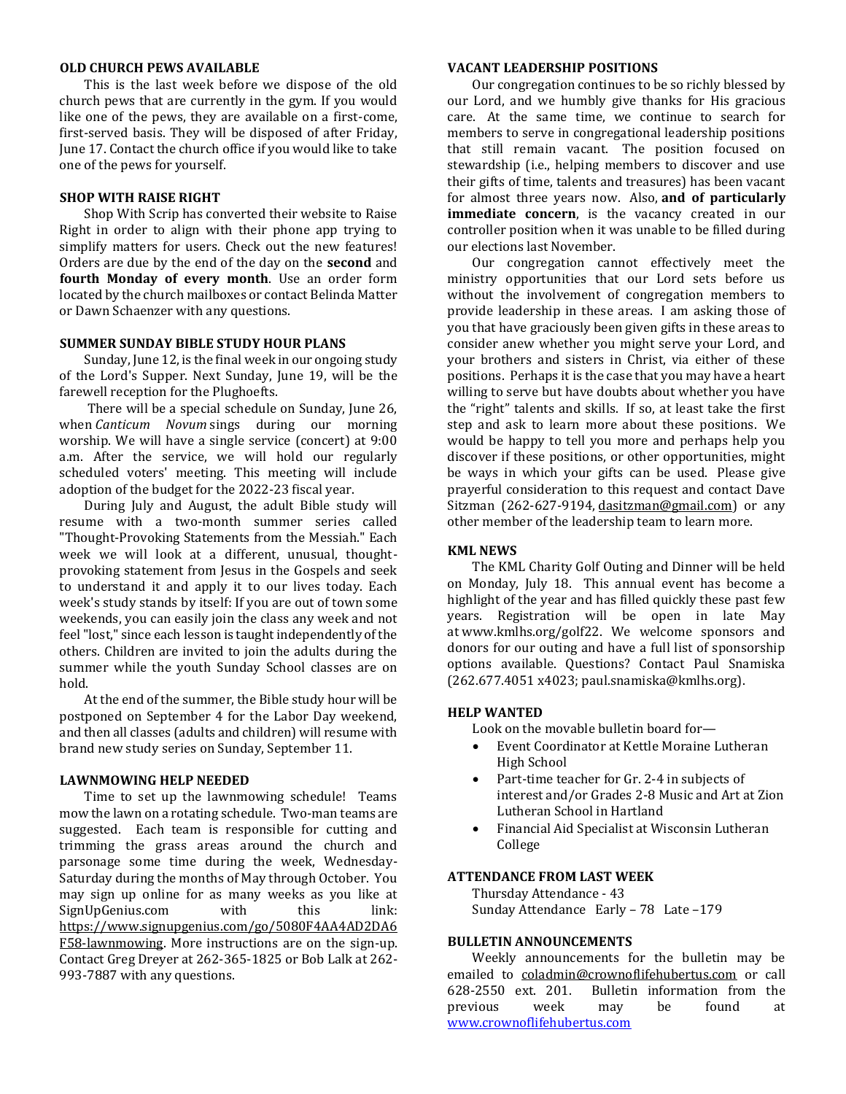#### **OLD CHURCH PEWS AVAILABLE**

This is the last week before we dispose of the old church pews that are currently in the gym. If you would like one of the pews, they are available on a first-come, first-served basis. They will be disposed of after Friday, June 17. Contact the church office if you would like to take one of the pews for yourself.

#### **SHOP WITH RAISE RIGHT**

Shop With Scrip has converted their website to Raise Right in order to align with their phone app trying to simplify matters for users. Check out the new features! Orders are due by the end of the day on the **second** and **fourth Monday of every month**. Use an order form located by the church mailboxes or contact Belinda Matter or Dawn Schaenzer with any questions.

#### **SUMMER SUNDAY BIBLE STUDY HOUR PLANS**

Sunday, June 12, is the final week in our ongoing study of the Lord's Supper. Next Sunday, June 19, will be the farewell reception for the Plughoefts.

There will be a special schedule on Sunday, June 26, when *Canticum Novum* sings during our morning worship. We will have a single service (concert) at 9:00 a.m. After the service, we will hold our regularly scheduled voters' meeting. This meeting will include adoption of the budget for the 2022-23 fiscal year.

During July and August, the adult Bible study will resume with a two-month summer series called "Thought-Provoking Statements from the Messiah." Each week we will look at a different, unusual, thoughtprovoking statement from Jesus in the Gospels and seek to understand it and apply it to our lives today. Each week's study stands by itself: If you are out of town some weekends, you can easily join the class any week and not feel "lost," since each lesson is taught independently of the others. Children are invited to join the adults during the summer while the youth Sunday School classes are on hold.

At the end of the summer, the Bible study hour will be postponed on September 4 for the Labor Day weekend, and then all classes (adults and children) will resume with brand new study series on Sunday, September 11.

#### **LAWNMOWING HELP NEEDED**

Time to set up the lawnmowing schedule! Teams mow the lawn on a rotating schedule. Two-man teams are suggested. Each team is responsible for cutting and trimming the grass areas around the church and parsonage some time during the week, Wednesday-Saturday during the months of May through October. You may sign up online for as many weeks as you like at SignUpGenius.com with this link: [https://www.signupgenius.com/go/5080F4AA4AD2DA6](https://www.signupgenius.com/go/5080F4AA4AD2DA6F58-lawnmowing) [F58-lawnmowing.](https://www.signupgenius.com/go/5080F4AA4AD2DA6F58-lawnmowing) More instructions are on the sign-up. Contact Greg Dreyer at 262-365-1825 or Bob Lalk at 262- 993-7887 with any questions.

#### **VACANT LEADERSHIP POSITIONS**

Our congregation continues to be so richly blessed by our Lord, and we humbly give thanks for His gracious care. At the same time, we continue to search for members to serve in congregational leadership positions that still remain vacant. The position focused on stewardship (i.e., helping members to discover and use their gifts of time, talents and treasures) has been vacant for almost three years now. Also, **and of particularly immediate concern**, is the vacancy created in our controller position when it was unable to be filled during our elections last November.

Our congregation cannot effectively meet the ministry opportunities that our Lord sets before us without the involvement of congregation members to provide leadership in these areas. I am asking those of you that have graciously been given gifts in these areas to consider anew whether you might serve your Lord, and your brothers and sisters in Christ, via either of these positions. Perhaps it is the case that you may have a heart willing to serve but have doubts about whether you have the "right" talents and skills. If so, at least take the first step and ask to learn more about these positions. We would be happy to tell you more and perhaps help you discover if these positions, or other opportunities, might be ways in which your gifts can be used. Please give prayerful consideration to this request and contact Dave Sitzman (262-627-9194, [dasitzman@gmail.com\)](mailto:dasitzman@gmail.com) or any other member of the leadership team to learn more.

#### **KML NEWS**

The KML Charity Golf Outing and Dinner will be held on Monday, July 18. This annual event has become a highlight of the year and has filled quickly these past few years. Registration will be open in late May at [www.kmlhs.org/golf22.](http://www.kmlhs.org/golf22) We welcome sponsors and donors for our outing and have a full list of sponsorship options available. Questions? Contact Paul Snamiska (262.677.4051 x4023; [paul.snamiska@kmlhs.org\)](mailto:paul.snamiska@kmlhs.org).

#### **HELP WANTED**

Look on the movable bulletin board for—

- Event Coordinator at Kettle Moraine Lutheran High School
- Part-time teacher for Gr. 2-4 in subjects of interest and/or Grades 2-8 Music and Art at Zion Lutheran School in Hartland
- Financial Aid Specialist at Wisconsin Lutheran College

#### **ATTENDANCE FROM LAST WEEK**

Thursday Attendance - 43 Sunday Attendance Early – 78 Late –179

#### **BULLETIN ANNOUNCEMENTS**

Weekly announcements for the bulletin may be emailed to [coladmin@crownoflifehubertus.com](mailto:coladmin@crownoflifehubertus.com) or call 628-2550 ext. 201. Bulletin information from the previous week may be found at [www.crownoflifehubertus.com](http://www.crownoflifehubertus.com/)